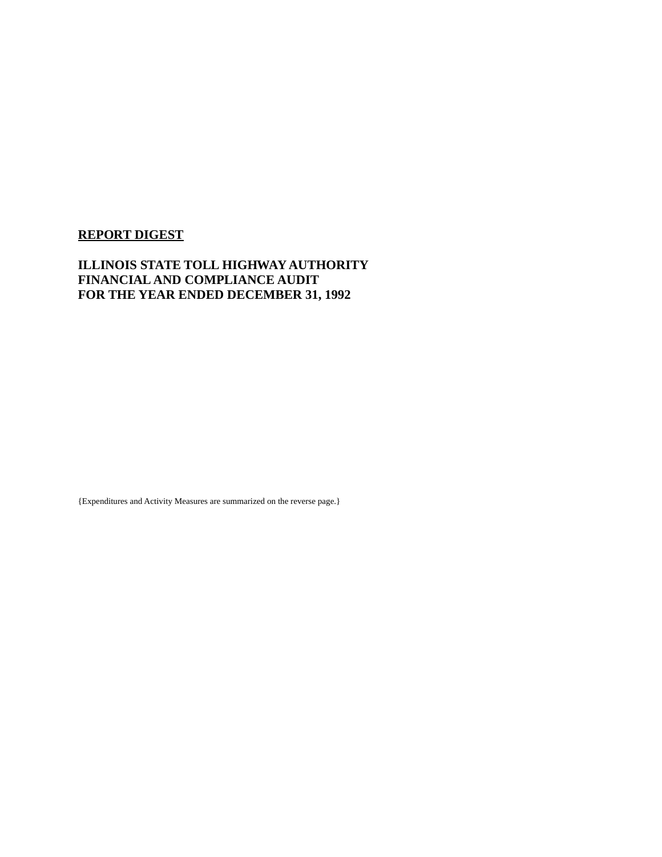### **REPORT DIGEST**

### **ILLINOIS STATE TOLL HIGHWAY AUTHORITY FINANCIAL AND COMPLIANCE AUDIT FOR THE YEAR ENDED DECEMBER 31, 1992**

{Expenditures and Activity Measures are summarized on the reverse page.}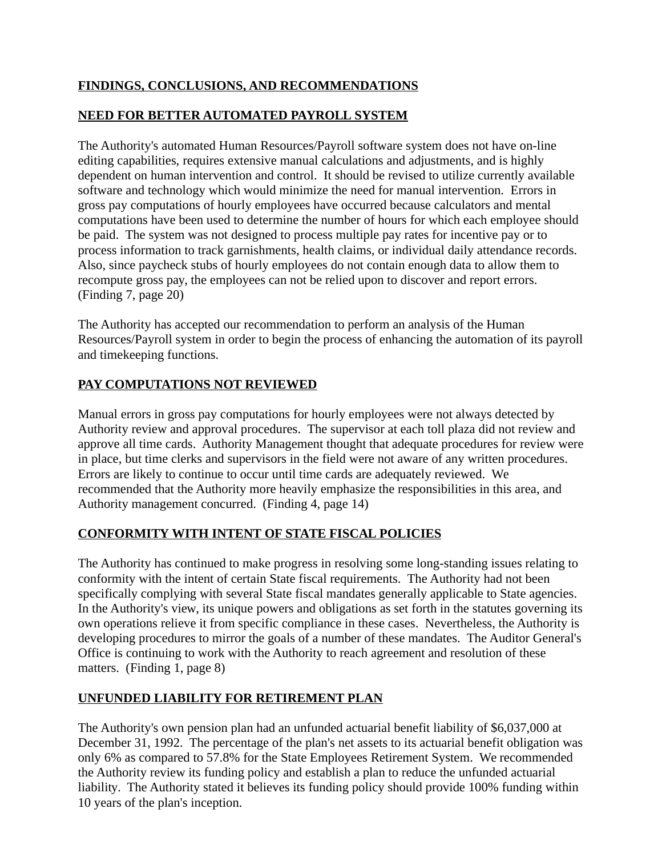### **FINDINGS, CONCLUSIONS, AND RECOMMENDATIONS**

# **NEED FOR BETTER AUTOMATED PAYROLL SYSTEM**

The Authority's automated Human Resources/Payroll software system does not have on-line editing capabilities, requires extensive manual calculations and adjustments, and is highly dependent on human intervention and control. It should be revised to utilize currently available software and technology which would minimize the need for manual intervention. Errors in gross pay computations of hourly employees have occurred because calculators and mental computations have been used to determine the number of hours for which each employee should be paid. The system was not designed to process multiple pay rates for incentive pay or to process information to track garnishments, health claims, or individual daily attendance records. Also, since paycheck stubs of hourly employees do not contain enough data to allow them to recompute gross pay, the employees can not be relied upon to discover and report errors. (Finding 7, page 20)

The Authority has accepted our recommendation to perform an analysis of the Human Resources/Payroll system in order to begin the process of enhancing the automation of its payroll and timekeeping functions.

# **PAY COMPUTATIONS NOT REVIEWED**

Manual errors in gross pay computations for hourly employees were not always detected by Authority review and approval procedures. The supervisor at each toll plaza did not review and approve all time cards. Authority Management thought that adequate procedures for review were in place, but time clerks and supervisors in the field were not aware of any written procedures. Errors are likely to continue to occur until time cards are adequately reviewed. We recommended that the Authority more heavily emphasize the responsibilities in this area, and Authority management concurred. (Finding 4, page 14)

### **CONFORMITY WITH INTENT OF STATE FISCAL POLICIES**

The Authority has continued to make progress in resolving some long-standing issues relating to conformity with the intent of certain State fiscal requirements. The Authority had not been specifically complying with several State fiscal mandates generally applicable to State agencies. In the Authority's view, its unique powers and obligations as set forth in the statutes governing its own operations relieve it from specific compliance in these cases. Nevertheless, the Authority is developing procedures to mirror the goals of a number of these mandates. The Auditor General's Office is continuing to work with the Authority to reach agreement and resolution of these matters. (Finding 1, page 8)

### **UNFUNDED LIABILITY FOR RETIREMENT PLAN**

The Authority's own pension plan had an unfunded actuarial benefit liability of \$6,037,000 at December 31, 1992. The percentage of the plan's net assets to its actuarial benefit obligation was only 6% as compared to 57.8% for the State Employees Retirement System. We recommended the Authority review its funding policy and establish a plan to reduce the unfunded actuarial liability. The Authority stated it believes its funding policy should provide 100% funding within 10 years of the plan's inception.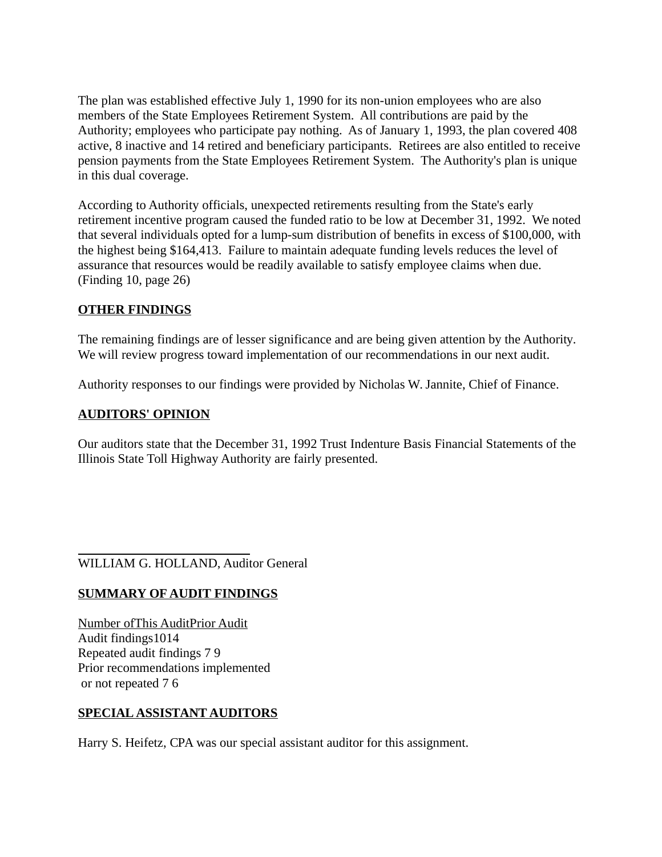The plan was established effective July 1, 1990 for its non-union employees who are also members of the State Employees Retirement System. All contributions are paid by the Authority; employees who participate pay nothing. As of January 1, 1993, the plan covered 408 active, 8 inactive and 14 retired and beneficiary participants. Retirees are also entitled to receive pension payments from the State Employees Retirement System. The Authority's plan is unique in this dual coverage.

According to Authority officials, unexpected retirements resulting from the State's early retirement incentive program caused the funded ratio to be low at December 31, 1992. We noted that several individuals opted for a lump-sum distribution of benefits in excess of \$100,000, with the highest being \$164,413. Failure to maintain adequate funding levels reduces the level of assurance that resources would be readily available to satisfy employee claims when due. (Finding 10, page 26)

### **OTHER FINDINGS**

The remaining findings are of lesser significance and are being given attention by the Authority. We will review progress toward implementation of our recommendations in our next audit.

Authority responses to our findings were provided by Nicholas W. Jannite, Chief of Finance.

### **AUDITORS' OPINION**

Our auditors state that the December 31, 1992 Trust Indenture Basis Financial Statements of the Illinois State Toll Highway Authority are fairly presented.

 $\overline{a}$ WILLIAM G. HOLLAND, Auditor General

### **SUMMARY OF AUDIT FINDINGS**

Number ofThis AuditPrior Audit Audit findings1014 Repeated audit findings 7 9 Prior recommendations implemented or not repeated 7 6

### **SPECIAL ASSISTANT AUDITORS**

Harry S. Heifetz, CPA was our special assistant auditor for this assignment.